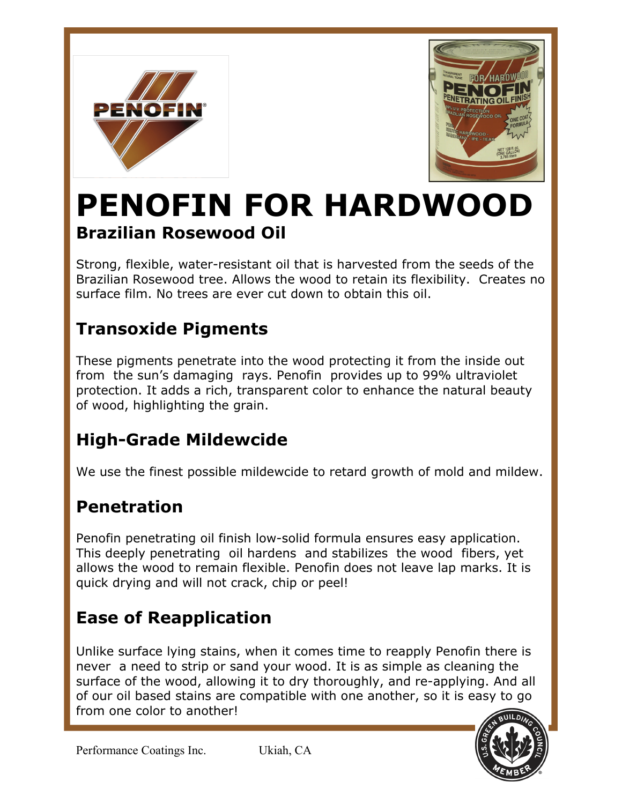



# **Brazilian Rosewood Oil PENOFIN FOR HARDWOOD**

Strong, flexible, water-resistant oil that is harvested from the seeds of the Brazilian Rosewood tree. Allows the wood to retain its flexibility. Creates no surface film. No trees are ever cut down to obtain this oil.

# **Transoxide Pigments**

These pigments penetrate into the wood protecting it from the inside out from the sun's damaging rays. Penofin provides up to 99% ultraviolet protection. It adds a rich, transparent color to enhance the natural beauty of wood, highlighting the grain.

# **High-Grade Mildewcide**

We use the finest possible mildewcide to retard growth of mold and mildew.

# **Penetration**

Penofin penetrating oil finish low-solid formula ensures easy application. This deeply penetrating oil hardens and stabilizes the wood fibers, yet allows the wood to remain flexible. Penofin does not leave lap marks. It is quick drying and will not crack, chip or peel!

# **Ease of Reapplication**

Unlike surface lying stains, when it comes time to reapply Penofin there is never a need to strip or sand your wood. It is as simple as cleaning the surface of the wood, allowing it to dry thoroughly, and re-applying. And all of our oil based stains are compatible with one another, so it is easy to go from one color to another!



Performance Coatings Inc. Ukiah, CA